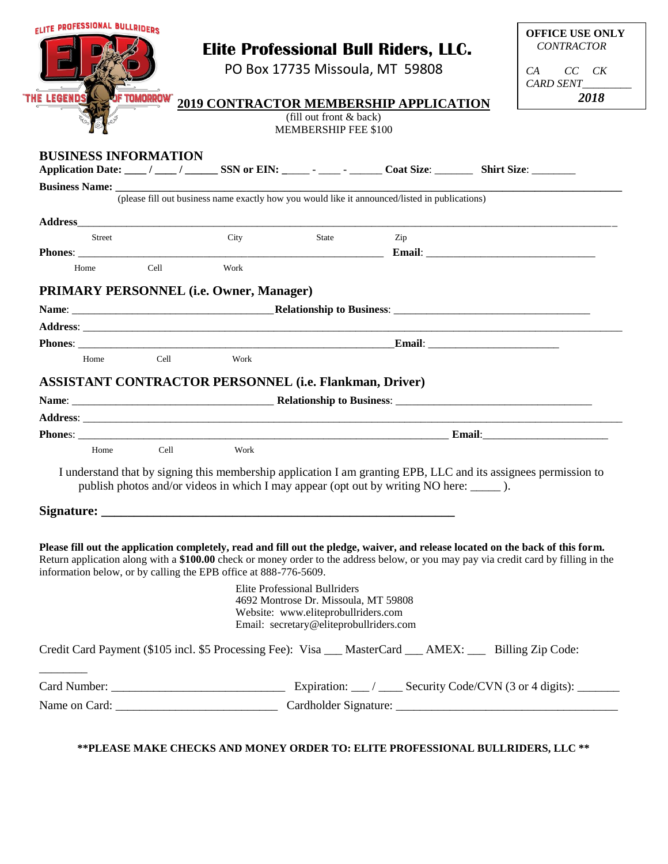|                                                                  | <b>ELITE PROFESSIONAL BULLRIDERS</b> |      |                                                                                                                        |                                                                                                                                                                                                                                                                         |  | <b>OFFICE USE ONLY</b> |
|------------------------------------------------------------------|--------------------------------------|------|------------------------------------------------------------------------------------------------------------------------|-------------------------------------------------------------------------------------------------------------------------------------------------------------------------------------------------------------------------------------------------------------------------|--|------------------------|
|                                                                  |                                      |      |                                                                                                                        | <b>Elite Professional Bull Riders, LLC.</b>                                                                                                                                                                                                                             |  | <b>CONTRACTOR</b>      |
|                                                                  |                                      |      |                                                                                                                        | PO Box 17735 Missoula, MT 59808                                                                                                                                                                                                                                         |  | $CC$ $CK$<br>CA        |
|                                                                  |                                      |      |                                                                                                                        |                                                                                                                                                                                                                                                                         |  | CARD SENT              |
| <b>THE LEGENDS</b>                                               | <b>JF TOMORROW"</b>                  |      |                                                                                                                        | 2019 CONTRACTOR MEMBERSHIP APPLICATION                                                                                                                                                                                                                                  |  | 2018                   |
|                                                                  |                                      |      | (fill out front & back)<br><b>MEMBERSHIP FEE \$100</b>                                                                 |                                                                                                                                                                                                                                                                         |  |                        |
|                                                                  |                                      |      |                                                                                                                        |                                                                                                                                                                                                                                                                         |  |                        |
| <b>BUSINESS INFORMATION</b>                                      |                                      |      |                                                                                                                        | Application Date: ___/ ___/ _____ SSN or EIN: _____ - ____ - _____ Coat Size: ________ Shirt Size: ________                                                                                                                                                             |  |                        |
|                                                                  |                                      |      |                                                                                                                        | <b>Business Name:</b> (please fill out business name exactly how you would like it announced/listed in publications)                                                                                                                                                    |  |                        |
|                                                                  |                                      |      |                                                                                                                        |                                                                                                                                                                                                                                                                         |  |                        |
|                                                                  |                                      |      |                                                                                                                        |                                                                                                                                                                                                                                                                         |  |                        |
| Street                                                           |                                      | City | State                                                                                                                  | Zip                                                                                                                                                                                                                                                                     |  |                        |
|                                                                  |                                      |      |                                                                                                                        |                                                                                                                                                                                                                                                                         |  |                        |
| Home                                                             | Cell                                 | Work |                                                                                                                        |                                                                                                                                                                                                                                                                         |  |                        |
| <b>PRIMARY PERSONNEL (i.e. Owner, Manager)</b>                   |                                      |      |                                                                                                                        |                                                                                                                                                                                                                                                                         |  |                        |
|                                                                  |                                      |      |                                                                                                                        |                                                                                                                                                                                                                                                                         |  |                        |
|                                                                  |                                      |      |                                                                                                                        |                                                                                                                                                                                                                                                                         |  |                        |
|                                                                  |                                      |      |                                                                                                                        |                                                                                                                                                                                                                                                                         |  |                        |
| Home                                                             | Cell                                 | Work |                                                                                                                        |                                                                                                                                                                                                                                                                         |  |                        |
|                                                                  |                                      |      |                                                                                                                        |                                                                                                                                                                                                                                                                         |  |                        |
| <b>ASSISTANT CONTRACTOR PERSONNEL (i.e. Flankman, Driver)</b>    |                                      |      |                                                                                                                        |                                                                                                                                                                                                                                                                         |  |                        |
|                                                                  |                                      |      |                                                                                                                        |                                                                                                                                                                                                                                                                         |  |                        |
|                                                                  |                                      |      |                                                                                                                        |                                                                                                                                                                                                                                                                         |  |                        |
|                                                                  |                                      |      |                                                                                                                        |                                                                                                                                                                                                                                                                         |  |                        |
| Home                                                             | Cell                                 | Work |                                                                                                                        |                                                                                                                                                                                                                                                                         |  |                        |
|                                                                  |                                      |      |                                                                                                                        |                                                                                                                                                                                                                                                                         |  |                        |
|                                                                  |                                      |      |                                                                                                                        | I understand that by signing this membership application I am granting EPB, LLC and its assignees permission to<br>publish photos and/or videos in which I may appear (opt out by writing NO here: ________).                                                           |  |                        |
|                                                                  |                                      |      |                                                                                                                        |                                                                                                                                                                                                                                                                         |  |                        |
|                                                                  |                                      |      |                                                                                                                        |                                                                                                                                                                                                                                                                         |  |                        |
|                                                                  |                                      |      |                                                                                                                        |                                                                                                                                                                                                                                                                         |  |                        |
|                                                                  |                                      |      |                                                                                                                        | Please fill out the application completely, read and fill out the pledge, waiver, and release located on the back of this form.<br>Return application along with a \$100.00 check or money order to the address below, or you may pay via credit card by filling in the |  |                        |
| information below, or by calling the EPB office at 888-776-5609. |                                      |      | <b>Elite Professional Bullriders</b>                                                                                   |                                                                                                                                                                                                                                                                         |  |                        |
|                                                                  |                                      |      | 4692 Montrose Dr. Missoula, MT 59808<br>Website: www.eliteprobullriders.com<br>Email: secretary@eliteprobullriders.com |                                                                                                                                                                                                                                                                         |  |                        |
|                                                                  |                                      |      |                                                                                                                        | Credit Card Payment (\$105 incl. \$5 Processing Fee): Visa __ MasterCard __ AMEX: __ Billing Zip Code:                                                                                                                                                                  |  |                        |
|                                                                  |                                      |      |                                                                                                                        |                                                                                                                                                                                                                                                                         |  |                        |

**\*\*PLEASE MAKE CHECKS AND MONEY ORDER TO: ELITE PROFESSIONAL BULLRIDERS, LLC \*\***